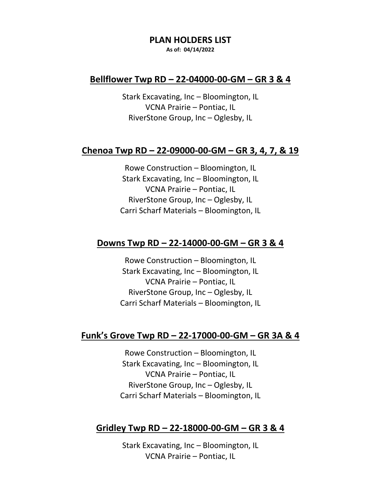#### **PLAN HOLDERS LIST**

**As of: 04/14/2022**

## **Bellflower Twp RD – 22-04000-00-GM – GR 3 & 4**

Stark Excavating, Inc – Bloomington, IL VCNA Prairie – Pontiac, IL RiverStone Group, Inc – Oglesby, IL

### **Chenoa Twp RD – 22-09000-00-GM – GR 3, 4, 7, & 19**

Rowe Construction – Bloomington, IL Stark Excavating, Inc – Bloomington, IL VCNA Prairie – Pontiac, IL RiverStone Group, Inc – Oglesby, IL Carri Scharf Materials – Bloomington, IL

#### **Downs Twp RD – 22-14000-00-GM – GR 3 & 4**

Rowe Construction – Bloomington, IL Stark Excavating, Inc – Bloomington, IL VCNA Prairie – Pontiac, IL RiverStone Group, Inc – Oglesby, IL Carri Scharf Materials – Bloomington, IL

## **Funk's Grove Twp RD – 22-17000-00-GM – GR 3A & 4**

Rowe Construction – Bloomington, IL Stark Excavating, Inc – Bloomington, IL VCNA Prairie – Pontiac, IL RiverStone Group, Inc – Oglesby, IL Carri Scharf Materials – Bloomington, IL

### **Gridley Twp RD – 22-18000-00-GM – GR 3 & 4**

Stark Excavating, Inc – Bloomington, IL VCNA Prairie – Pontiac, IL